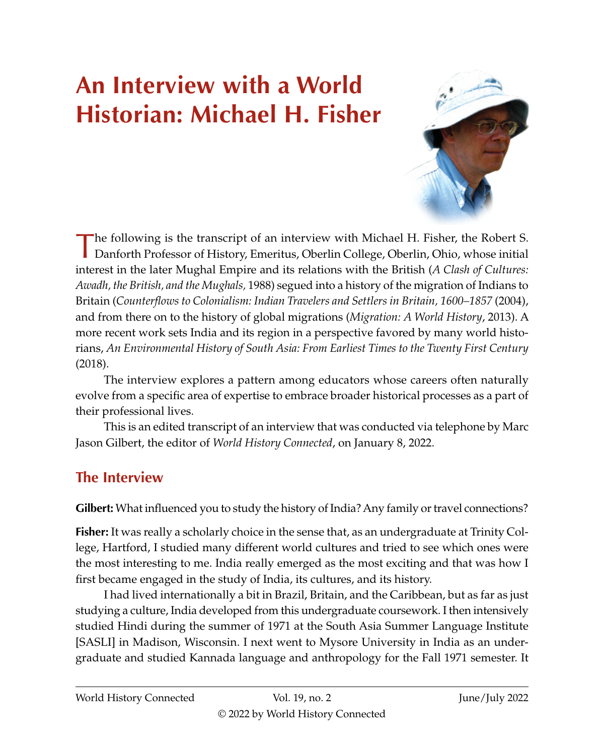## **An Interview with a World Historian: Michael H. Fisher**



The following is the transcript of an interview with Michael H. Fisher, the Robert S. Danforth Professor of History, Emeritus, Oberlin College, Oberlin, Ohio, whose initial interest in the later Mughal Empire and its relations with the British (*A Clash of Cultures: Awadh, the British, and the Mughals,* 1988) segued into a history of the migration of Indians to Britain (*Counterflows to Colonialism: Indian Travelers and Settlers in Britain, 1600–1857* (2004), and from there on to the history of global migrations (*Migration: A World History*, 2013). A more recent work sets India and its region in a perspective favored by many world historians, *An Environmental History of South Asia: From Earliest Times to the Twenty First Century* (2018).

The interview explores a pattern among educators whose careers often naturally evolve from a specific area of expertise to embrace broader historical processes as a part of their professional lives.

This is an edited transcript of an interview that was conducted via telephone by Marc Jason Gilbert, the editor of *World History Connected*, on January 8, 2022.

## **The Interview**

**Gilbert:** What influenced you to study the history of India? Any family or travel connections?

**Fisher:** It was really a scholarly choice in the sense that, as an undergraduate at Trinity College, Hartford, I studied many different world cultures and tried to see which ones were the most interesting to me. India really emerged as the most exciting and that was how I first became engaged in the study of India, its cultures, and its history.

I had lived internationally a bit in Brazil, Britain, and the Caribbean, but as far as just studying a culture, India developed from this undergraduate coursework. I then intensively studied Hindi during the summer of 1971 at the South Asia Summer Language Institute [SASLI] in Madison, Wisconsin. I next went to Mysore University in India as an undergraduate and studied Kannada language and anthropology for the Fall 1971 semester. It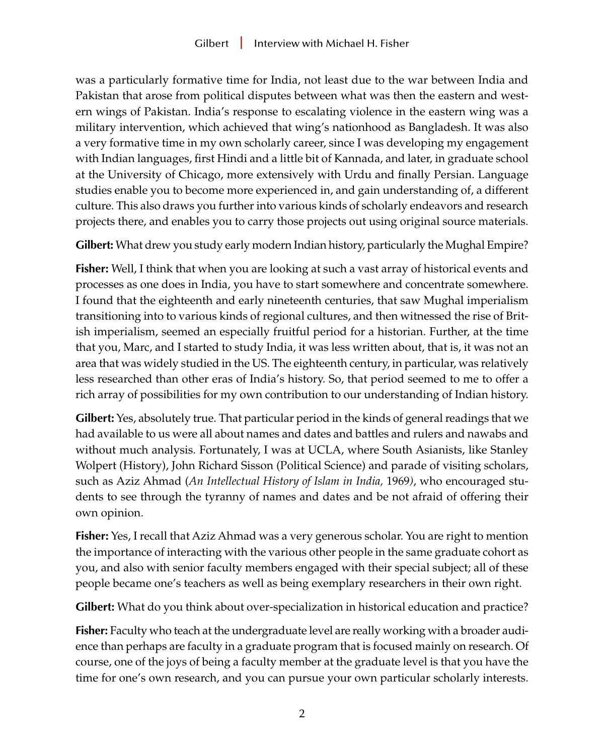was a particularly formative time for India, not least due to the war between India and Pakistan that arose from political disputes between what was then the eastern and western wings of Pakistan. India's response to escalating violence in the eastern wing was a military intervention, which achieved that wing's nationhood as Bangladesh. It was also a very formative time in my own scholarly career, since I was developing my engagement with Indian languages, first Hindi and a little bit of Kannada, and later, in graduate school at the University of Chicago, more extensively with Urdu and finally Persian. Language studies enable you to become more experienced in, and gain understanding of, a different culture. This also draws you further into various kinds of scholarly endeavors and research projects there, and enables you to carry those projects out using original source materials.

**Gilbert:** What drew you study early modern Indian history, particularly the Mughal Empire?

**Fisher:** Well, I think that when you are looking at such a vast array of historical events and processes as one does in India, you have to start somewhere and concentrate somewhere. I found that the eighteenth and early nineteenth centuries, that saw Mughal imperialism transitioning into to various kinds of regional cultures, and then witnessed the rise of British imperialism, seemed an especially fruitful period for a historian. Further, at the time that you, Marc, and I started to study India, it was less written about, that is, it was not an area that was widely studied in the US. The eighteenth century, in particular, was relatively less researched than other eras of India's history. So, that period seemed to me to offer a rich array of possibilities for my own contribution to our understanding of Indian history.

**Gilbert:** Yes, absolutely true. That particular period in the kinds of general readings that we had available to us were all about names and dates and battles and rulers and nawabs and without much analysis. Fortunately, I was at UCLA, where South Asianists, like Stanley Wolpert (History), John Richard Sisson (Political Science) and parade of visiting scholars, such as Aziz Ahmad (*An Intellectual History of Islam in India,* 1969*)*, who encouraged students to see through the tyranny of names and dates and be not afraid of offering their own opinion.

**Fisher:** Yes, I recall that Aziz Ahmad was a very generous scholar. You are right to mention the importance of interacting with the various other people in the same graduate cohort as you, and also with senior faculty members engaged with their special subject; all of these people became one's teachers as well as being exemplary researchers in their own right.

**Gilbert:** What do you think about over-specialization in historical education and practice?

**Fisher:** Faculty who teach at the undergraduate level are really working with a broader audience than perhaps are faculty in a graduate program that is focused mainly on research. Of course, one of the joys of being a faculty member at the graduate level is that you have the time for one's own research, and you can pursue your own particular scholarly interests.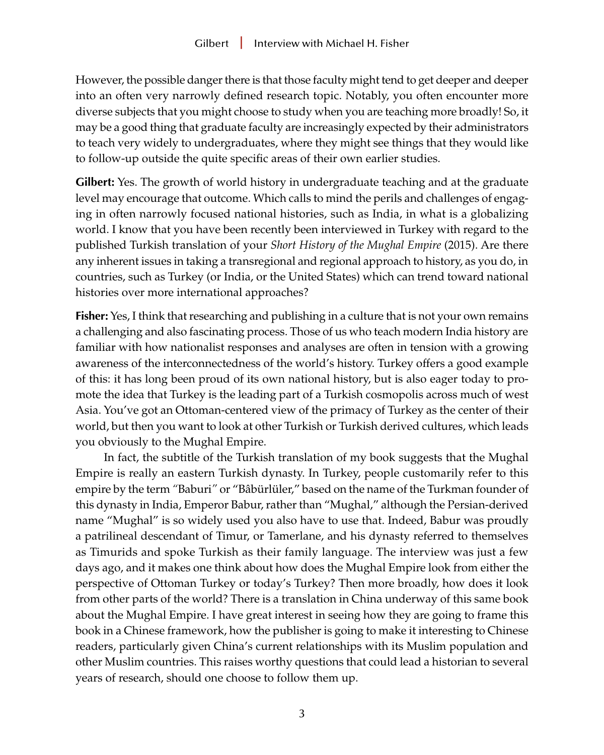However, the possible danger there is that those faculty might tend to get deeper and deeper into an often very narrowly defined research topic. Notably, you often encounter more diverse subjects that you might choose to study when you are teaching more broadly! So, it may be a good thing that graduate faculty are increasingly expected by their administrators to teach very widely to undergraduates, where they might see things that they would like to follow-up outside the quite specific areas of their own earlier studies.

**Gilbert:** Yes. The growth of world history in undergraduate teaching and at the graduate level may encourage that outcome. Which calls to mind the perils and challenges of engaging in often narrowly focused national histories, such as India, in what is a globalizing world. I know that you have been recently been interviewed in Turkey with regard to the published Turkish translation of your *Short History of the Mughal Empire* (2015). Are there any inherent issues in taking a transregional and regional approach to history, as you do, in countries, such as Turkey (or India, or the United States) which can trend toward national histories over more international approaches?

**Fisher:** Yes, I think that researching and publishing in a culture that is not your own remains a challenging and also fascinating process. Those of us who teach modern India history are familiar with how nationalist responses and analyses are often in tension with a growing awareness of the interconnectedness of the world's history. Turkey offers a good example of this: it has long been proud of its own national history, but is also eager today to promote the idea that Turkey is the leading part of a Turkish cosmopolis across much of west Asia. You've got an Ottoman-centered view of the primacy of Turkey as the center of their world, but then you want to look at other Turkish or Turkish derived cultures, which leads you obviously to the Mughal Empire.

In fact, the subtitle of the Turkish translation of my book suggests that the Mughal Empire is really an eastern Turkish dynasty. In Turkey, people customarily refer to this empire by the term *"*Baburi*"* or "Bâbürlüler," based on the name of the Turkman founder of this dynasty in India, Emperor Babur, rather than "Mughal," although the Persian-derived name "Mughal" is so widely used you also have to use that. Indeed, Babur was proudly a patrilineal descendant of Timur, or Tamerlane, and his dynasty referred to themselves as Timurids and spoke Turkish as their family language. The interview was just a few days ago, and it makes one think about how does the Mughal Empire look from either the perspective of Ottoman Turkey or today's Turkey? Then more broadly, how does it look from other parts of the world? There is a translation in China underway of this same book about the Mughal Empire. I have great interest in seeing how they are going to frame this book in a Chinese framework, how the publisher is going to make it interesting to Chinese readers, particularly given China's current relationships with its Muslim population and other Muslim countries. This raises worthy questions that could lead a historian to several years of research, should one choose to follow them up.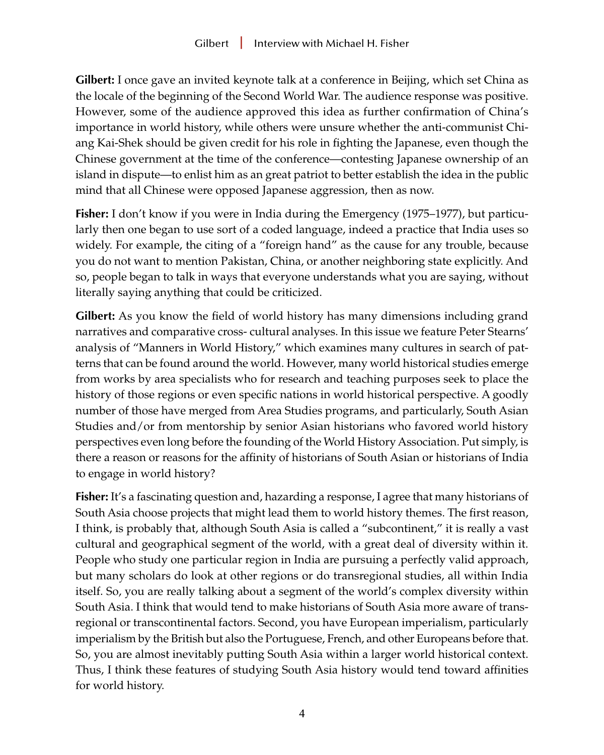**Gilbert:** I once gave an invited keynote talk at a conference in Beijing, which set China as the locale of the beginning of the Second World War. The audience response was positive. However, some of the audience approved this idea as further confirmation of China's importance in world history, while others were unsure whether the anti-communist Chiang Kai-Shek should be given credit for his role in fighting the Japanese, even though the Chinese government at the time of the conference—contesting Japanese ownership of an island in dispute—to enlist him as an great patriot to better establish the idea in the public mind that all Chinese were opposed Japanese aggression, then as now.

**Fisher:** I don't know if you were in India during the Emergency (1975–1977), but particularly then one began to use sort of a coded language, indeed a practice that India uses so widely. For example, the citing of a "foreign hand" as the cause for any trouble, because you do not want to mention Pakistan, China, or another neighboring state explicitly. And so, people began to talk in ways that everyone understands what you are saying, without literally saying anything that could be criticized.

**Gilbert:** As you know the field of world history has many dimensions including grand narratives and comparative cross- cultural analyses. In this issue we feature Peter Stearns' analysis of "Manners in World History," which examines many cultures in search of patterns that can be found around the world. However, many world historical studies emerge from works by area specialists who for research and teaching purposes seek to place the history of those regions or even specific nations in world historical perspective. A goodly number of those have merged from Area Studies programs, and particularly, South Asian Studies and/or from mentorship by senior Asian historians who favored world history perspectives even long before the founding of the World History Association. Put simply, is there a reason or reasons for the affinity of historians of South Asian or historians of India to engage in world history?

**Fisher:** It's a fascinating question and, hazarding a response, I agree that many historians of South Asia choose projects that might lead them to world history themes. The first reason, I think, is probably that, although South Asia is called a "subcontinent," it is really a vast cultural and geographical segment of the world, with a great deal of diversity within it. People who study one particular region in India are pursuing a perfectly valid approach, but many scholars do look at other regions or do transregional studies, all within India itself. So, you are really talking about a segment of the world's complex diversity within South Asia. I think that would tend to make historians of South Asia more aware of transregional or transcontinental factors. Second, you have European imperialism, particularly imperialism by the British but also the Portuguese, French, and other Europeans before that. So, you are almost inevitably putting South Asia within a larger world historical context. Thus, I think these features of studying South Asia history would tend toward affinities for world history.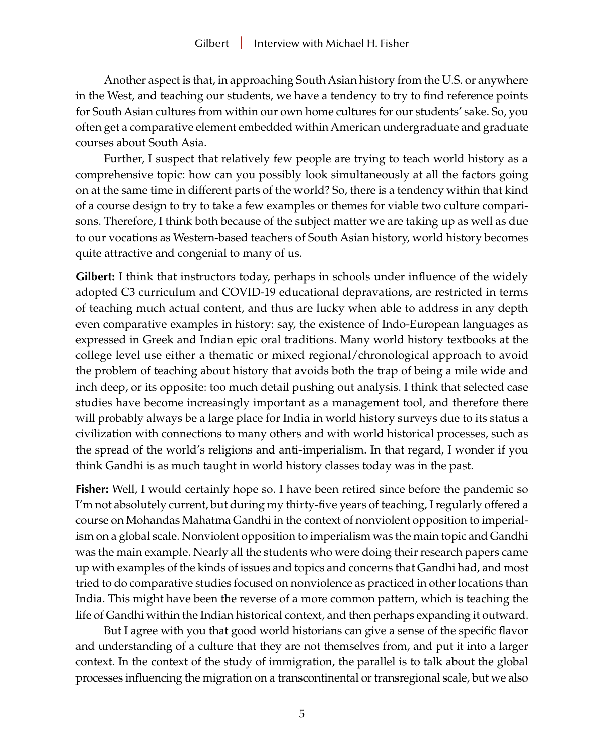Another aspect is that, in approaching South Asian history from the U.S. or anywhere in the West, and teaching our students, we have a tendency to try to find reference points for South Asian cultures from within our own home cultures for our students' sake. So, you often get a comparative element embedded within American undergraduate and graduate courses about South Asia.

Further, I suspect that relatively few people are trying to teach world history as a comprehensive topic: how can you possibly look simultaneously at all the factors going on at the same time in different parts of the world? So, there is a tendency within that kind of a course design to try to take a few examples or themes for viable two culture comparisons. Therefore, I think both because of the subject matter we are taking up as well as due to our vocations as Western-based teachers of South Asian history, world history becomes quite attractive and congenial to many of us.

**Gilbert:** I think that instructors today, perhaps in schools under influence of the widely adopted C3 curriculum and COVID-19 educational depravations, are restricted in terms of teaching much actual content, and thus are lucky when able to address in any depth even comparative examples in history: say, the existence of Indo-European languages as expressed in Greek and Indian epic oral traditions. Many world history textbooks at the college level use either a thematic or mixed regional/chronological approach to avoid the problem of teaching about history that avoids both the trap of being a mile wide and inch deep, or its opposite: too much detail pushing out analysis. I think that selected case studies have become increasingly important as a management tool, and therefore there will probably always be a large place for India in world history surveys due to its status a civilization with connections to many others and with world historical processes, such as the spread of the world's religions and anti-imperialism. In that regard, I wonder if you think Gandhi is as much taught in world history classes today was in the past.

**Fisher:** Well, I would certainly hope so. I have been retired since before the pandemic so I'm not absolutely current, but during my thirty-five years of teaching, I regularly offered a course on Mohandas Mahatma Gandhi in the context of nonviolent opposition to imperialism on a global scale. Nonviolent opposition to imperialism was the main topic and Gandhi was the main example. Nearly all the students who were doing their research papers came up with examples of the kinds of issues and topics and concerns that Gandhi had, and most tried to do comparative studies focused on nonviolence as practiced in other locations than India. This might have been the reverse of a more common pattern, which is teaching the life of Gandhi within the Indian historical context, and then perhaps expanding it outward.

But I agree with you that good world historians can give a sense of the specific flavor and understanding of a culture that they are not themselves from, and put it into a larger context. In the context of the study of immigration, the parallel is to talk about the global processes influencing the migration on a transcontinental or transregional scale, but we also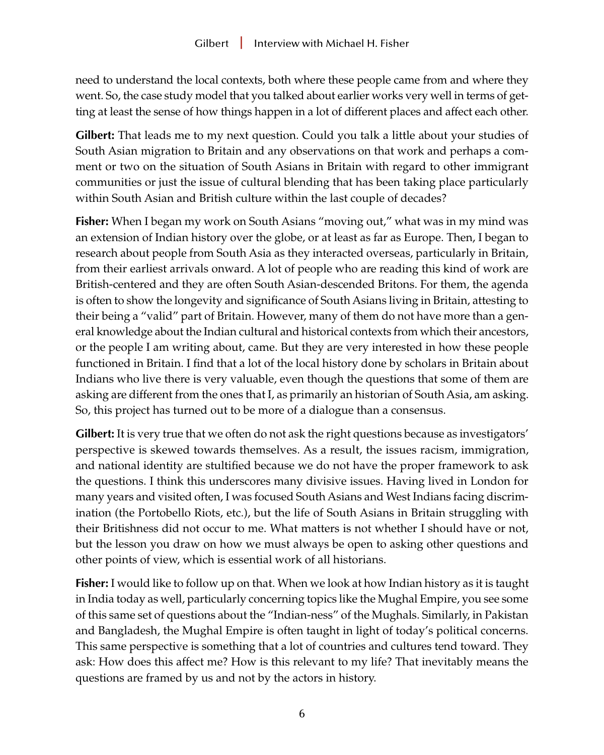need to understand the local contexts, both where these people came from and where they went. So, the case study model that you talked about earlier works very well in terms of getting at least the sense of how things happen in a lot of different places and affect each other.

**Gilbert:** That leads me to my next question. Could you talk a little about your studies of South Asian migration to Britain and any observations on that work and perhaps a comment or two on the situation of South Asians in Britain with regard to other immigrant communities or just the issue of cultural blending that has been taking place particularly within South Asian and British culture within the last couple of decades?

**Fisher:** When I began my work on South Asians "moving out," what was in my mind was an extension of Indian history over the globe, or at least as far as Europe. Then, I began to research about people from South Asia as they interacted overseas, particularly in Britain, from their earliest arrivals onward. A lot of people who are reading this kind of work are British-centered and they are often South Asian-descended Britons. For them, the agenda is often to show the longevity and significance of South Asians living in Britain, attesting to their being a "valid" part of Britain. However, many of them do not have more than a general knowledge about the Indian cultural and historical contexts from which their ancestors, or the people I am writing about, came. But they are very interested in how these people functioned in Britain. I find that a lot of the local history done by scholars in Britain about Indians who live there is very valuable, even though the questions that some of them are asking are different from the ones that I, as primarily an historian of South Asia, am asking. So, this project has turned out to be more of a dialogue than a consensus.

**Gilbert:** It is very true that we often do not ask the right questions because as investigators' perspective is skewed towards themselves. As a result, the issues racism, immigration, and national identity are stultified because we do not have the proper framework to ask the questions. I think this underscores many divisive issues. Having lived in London for many years and visited often, I was focused South Asians and West Indians facing discrimination (the Portobello Riots, etc.), but the life of South Asians in Britain struggling with their Britishness did not occur to me. What matters is not whether I should have or not, but the lesson you draw on how we must always be open to asking other questions and other points of view, which is essential work of all historians.

**Fisher:** I would like to follow up on that. When we look at how Indian history as it is taught in India today as well, particularly concerning topics like the Mughal Empire, you see some of this same set of questions about the "Indian-ness" of the Mughals. Similarly, in Pakistan and Bangladesh, the Mughal Empire is often taught in light of today's political concerns. This same perspective is something that a lot of countries and cultures tend toward. They ask: How does this affect me? How is this relevant to my life? That inevitably means the questions are framed by us and not by the actors in history.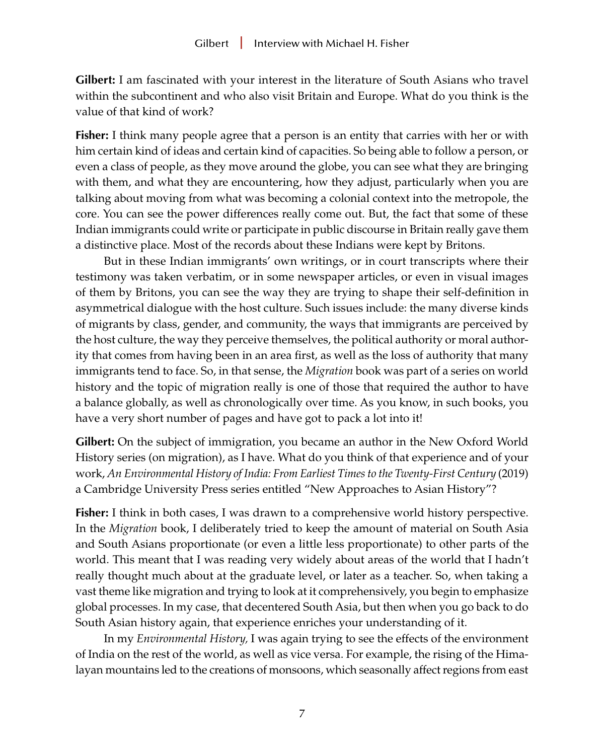**Gilbert:** I am fascinated with your interest in the literature of South Asians who travel within the subcontinent and who also visit Britain and Europe. What do you think is the value of that kind of work?

**Fisher:** I think many people agree that a person is an entity that carries with her or with him certain kind of ideas and certain kind of capacities. So being able to follow a person, or even a class of people, as they move around the globe, you can see what they are bringing with them, and what they are encountering, how they adjust, particularly when you are talking about moving from what was becoming a colonial context into the metropole, the core. You can see the power differences really come out. But, the fact that some of these Indian immigrants could write or participate in public discourse in Britain really gave them a distinctive place. Most of the records about these Indians were kept by Britons.

But in these Indian immigrants' own writings, or in court transcripts where their testimony was taken verbatim, or in some newspaper articles, or even in visual images of them by Britons, you can see the way they are trying to shape their self-definition in asymmetrical dialogue with the host culture. Such issues include: the many diverse kinds of migrants by class, gender, and community, the ways that immigrants are perceived by the host culture, the way they perceive themselves, the political authority or moral authority that comes from having been in an area first, as well as the loss of authority that many immigrants tend to face. So, in that sense, the *Migration* book was part of a series on world history and the topic of migration really is one of those that required the author to have a balance globally, as well as chronologically over time. As you know, in such books, you have a very short number of pages and have got to pack a lot into it!

**Gilbert:** On the subject of immigration, you became an author in the New Oxford World History series (on migration), as I have. What do you think of that experience and of your work, *An Environmental History of India: From Earliest Times to the Twenty-First Century* (2019) a Cambridge University Press series entitled "New Approaches to Asian History"?

**Fisher:** I think in both cases, I was drawn to a comprehensive world history perspective. In the *Migration* book, I deliberately tried to keep the amount of material on South Asia and South Asians proportionate (or even a little less proportionate) to other parts of the world. This meant that I was reading very widely about areas of the world that I hadn't really thought much about at the graduate level, or later as a teacher. So, when taking a vast theme like migration and trying to look at it comprehensively, you begin to emphasize global processes. In my case, that decentered South Asia, but then when you go back to do South Asian history again, that experience enriches your understanding of it.

In my *Environmental History,* I was again trying to see the effects of the environment of India on the rest of the world, as well as vice versa. For example, the rising of the Himalayan mountains led to the creations of monsoons, which seasonally affect regions from east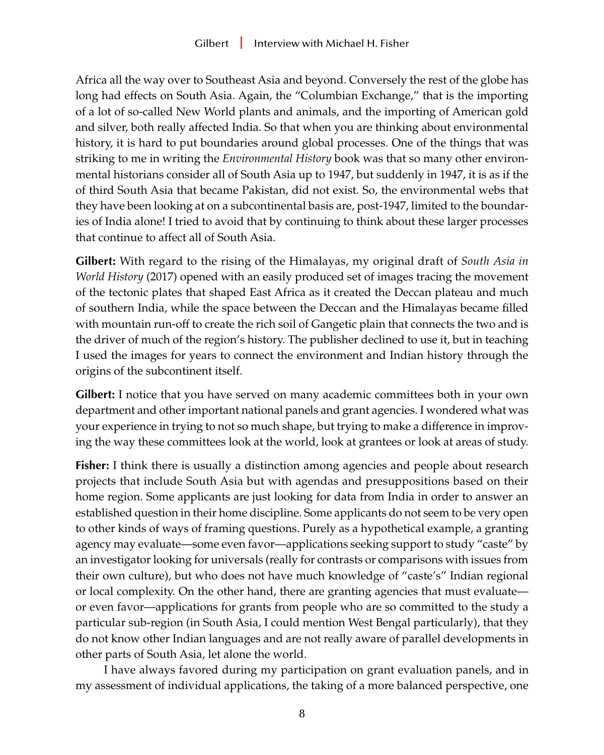Africa all the way over to Southeast Asia and beyond. Conversely the rest of the globe has long had effects on South Asia. Again, the "Columbian Exchange," that is the importing of a lot of so-called New World plants and animals, and the importing of American gold and silver, both really affected India. So that when you are thinking about environmental history, it is hard to put boundaries around global processes. One of the things that was striking to me in writing the *Environmental History* book was that so many other environmental historians consider all of South Asia up to 1947, but suddenly in 1947, it is as if the of third South Asia that became Pakistan, did not exist. So, the environmental webs that they have been looking at on a subcontinental basis are, post-1947, limited to the boundaries of India alone! I tried to avoid that by continuing to think about these larger processes that continue to affect all of South Asia.

**Gilbert:** With regard to the rising of the Himalayas, my original draft of *South Asia in World History* (2017) opened with an easily produced set of images tracing the movement of the tectonic plates that shaped East Africa as it created the Deccan plateau and much of southern India, while the space between the Deccan and the Himalayas became filled with mountain run-off to create the rich soil of Gangetic plain that connects the two and is the driver of much of the region's history. The publisher declined to use it, but in teaching I used the images for years to connect the environment and Indian history through the origins of the subcontinent itself.

**Gilbert:** I notice that you have served on many academic committees both in your own department and other important national panels and grant agencies. I wondered what was your experience in trying to not so much shape, but trying to make a difference in improving the way these committees look at the world, look at grantees or look at areas of study.

**Fisher:** I think there is usually a distinction among agencies and people about research projects that include South Asia but with agendas and presuppositions based on their home region. Some applicants are just looking for data from India in order to answer an established question in their home discipline. Some applicants do not seem to be very open to other kinds of ways of framing questions. Purely as a hypothetical example, a granting agency may evaluate—some even favor—applications seeking support to study "caste" by an investigator looking for universals (really for contrasts or comparisons with issues from their own culture), but who does not have much knowledge of "caste's" Indian regional or local complexity. On the other hand, there are granting agencies that must evaluate or even favor—applications for grants from people who are so committed to the study a particular sub-region (in South Asia, I could mention West Bengal particularly), that they do not know other Indian languages and are not really aware of parallel developments in other parts of South Asia, let alone the world.

I have always favored during my participation on grant evaluation panels, and in my assessment of individual applications, the taking of a more balanced perspective, one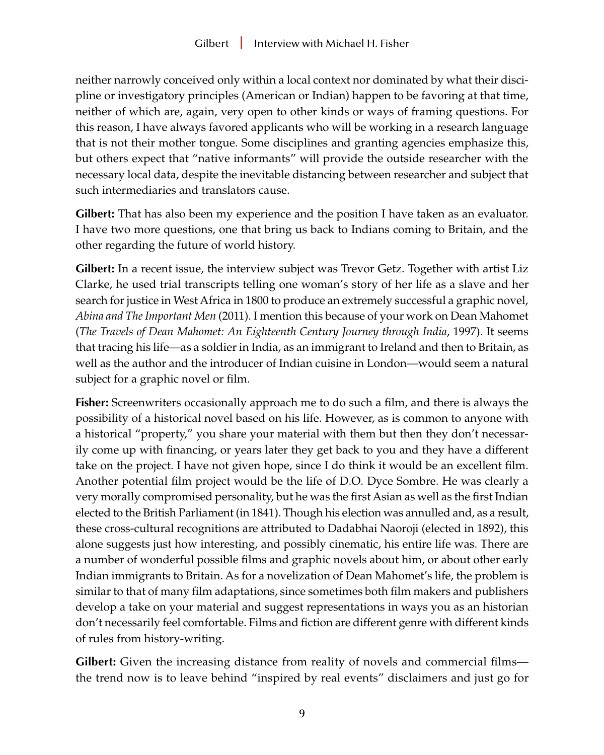neither narrowly conceived only within a local context nor dominated by what their discipline or investigatory principles (American or Indian) happen to be favoring at that time, neither of which are, again, very open to other kinds or ways of framing questions. For this reason, I have always favored applicants who will be working in a research language that is not their mother tongue. Some disciplines and granting agencies emphasize this, but others expect that "native informants" will provide the outside researcher with the necessary local data, despite the inevitable distancing between researcher and subject that such intermediaries and translators cause.

**Gilbert:** That has also been my experience and the position I have taken as an evaluator. I have two more questions, one that bring us back to Indians coming to Britain, and the other regarding the future of world history.

**Gilbert:** In a recent issue, the interview subject was Trevor Getz. Together with artist Liz Clarke, he used trial transcripts telling one woman's story of her life as a slave and her search for justice in West Africa in 1800 to produce an extremely successful a graphic novel, *Abina and The Important Men* (2011). I mention this because of your work on Dean Mahomet (*The Travels of Dean Mahomet: An Eighteenth Century Journey through India*, 1997). It seems that tracing his life—as a soldier in India, as an immigrant to Ireland and then to Britain, as well as the author and the introducer of Indian cuisine in London—would seem a natural subject for a graphic novel or film.

**Fisher:** Screenwriters occasionally approach me to do such a film, and there is always the possibility of a historical novel based on his life. However, as is common to anyone with a historical "property," you share your material with them but then they don't necessarily come up with financing, or years later they get back to you and they have a different take on the project. I have not given hope, since I do think it would be an excellent film. Another potential film project would be the life of D.O. Dyce Sombre. He was clearly a very morally compromised personality, but he was the first Asian as well as the first Indian elected to the British Parliament (in 1841). Though his election was annulled and, as a result, these cross-cultural recognitions are attributed to Dadabhai Naoroji (elected in 1892), this alone suggests just how interesting, and possibly cinematic, his entire life was. There are a number of wonderful possible films and graphic novels about him, or about other early Indian immigrants to Britain. As for a novelization of Dean Mahomet's life, the problem is similar to that of many film adaptations, since sometimes both film makers and publishers develop a take on your material and suggest representations in ways you as an historian don't necessarily feel comfortable. Films and fiction are different genre with different kinds of rules from history-writing.

**Gilbert:** Given the increasing distance from reality of novels and commercial films the trend now is to leave behind "inspired by real events" disclaimers and just go for